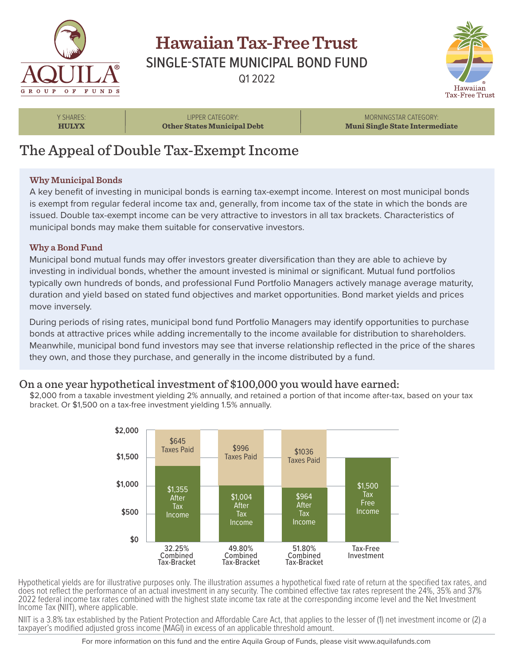

## **Hawaiian Tax-Free Trust** SINGLE-STATE MUNICIPAL BOND FUND Q1 2022



Y SHARES: **HULYX**

LIPPER CATEGORY: **Other States Municipal Debt**

MORNINGSTAR CATEGORY: **Muni Single State Intermediate**

# The Appeal of Double Tax-Exempt Income

### **Why Municipal Bonds**

A key benefit of investing in municipal bonds is earning tax-exempt income. Interest on most municipal bonds is exempt from regular federal income tax and, generally, from income tax of the state in which the bonds are issued. Double tax-exempt income can be very attractive to investors in all tax brackets. Characteristics of municipal bonds may make them suitable for conservative investors.

### **Why a Bond Fund**

Municipal bond mutual funds may offer investors greater diversification than they are able to achieve by investing in individual bonds, whether the amount invested is minimal or significant. Mutual fund portfolios typically own hundreds of bonds, and professional Fund Portfolio Managers actively manage average maturity, duration and yield based on stated fund objectives and market opportunities. Bond market yields and prices move inversely.

During periods of rising rates, municipal bond fund Portfolio Managers may identify opportunities to purchase bonds at attractive prices while adding incrementally to the income available for distribution to shareholders. Meanwhile, municipal bond fund investors may see that inverse relationship reflected in the price of the shares they own, and those they purchase, and generally in the income distributed by a fund.

### On a one year hypothetical investment of \$100,000 you would have earned:

\$2,000 from a taxable investment yielding 2% annually, and retained a portion of that income after-tax, based on your tax bracket. Or \$1,500 on a tax-free investment yielding 1.5% annually.



Hypothetical yields are for illustrative purposes only. The illustration assumes a hypothetical fixed rate of return at the specified tax rates, and does not reflect the performance of an actual investment in any security. The combined effective tax rates represent the 24%, 35% and 37% 2022 federal income tax rates combined with the highest state income tax rate at the corresponding income level and the Net Investment Income Tax (NIIT), where applicable.

NIIT is a 3.8% tax established by the Patient Protection and Affordable Care Act, that applies to the lesser of (1) net investment income or (2) a taxpayer's modified adjusted gross income (MAGI) in excess of an applicable threshold amount.